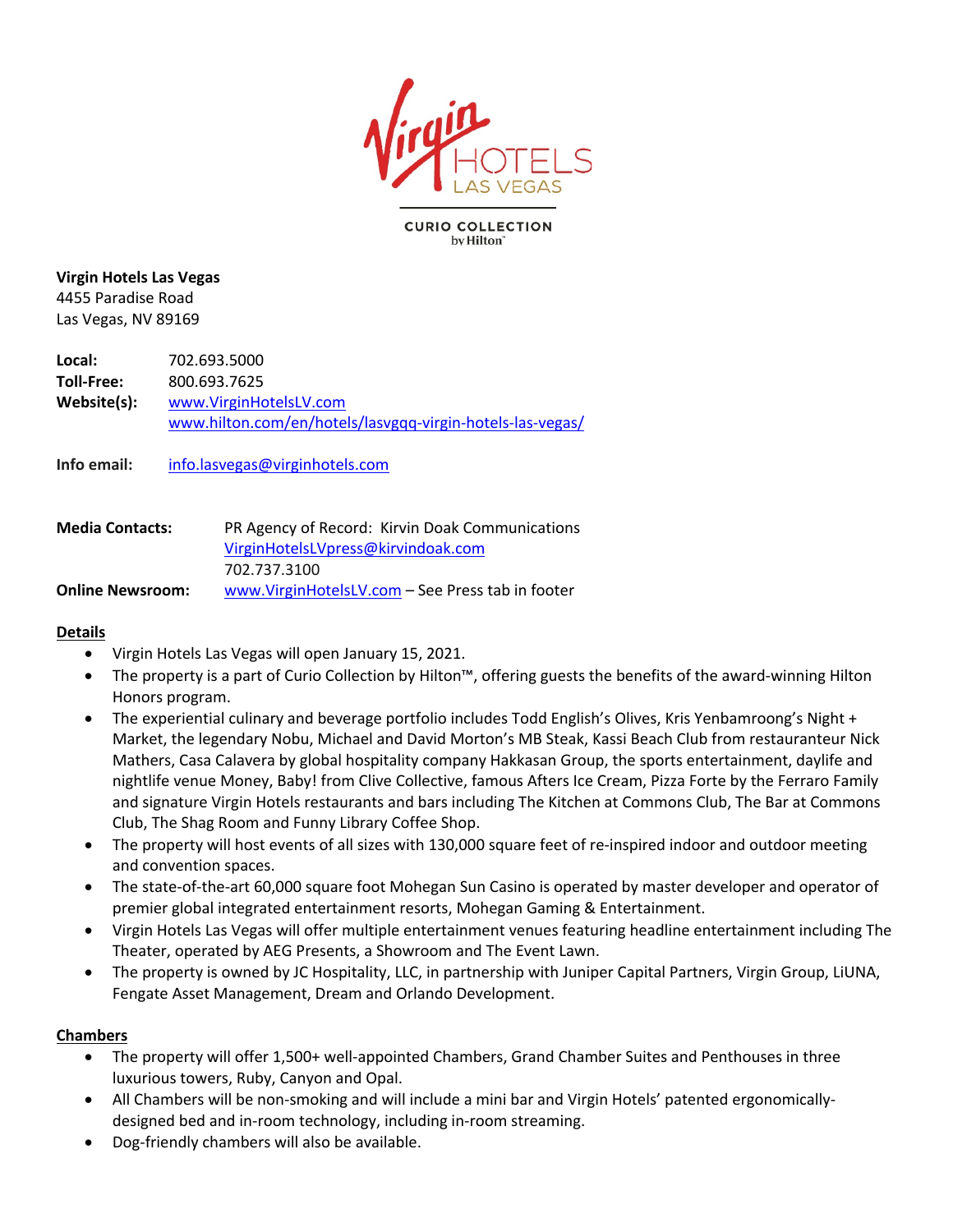

#### **CURIO COLLECTION** by Hilton<sup>®</sup>

#### **Virgin Hotels Las Vegas** 4455 Paradise Road

Las Vegas, NV 89169

**Local:** 702.693.5000 **Toll-Free:** 800.693.7625 **Website(s):** www.VirginHotelsLV.com www.hilton.com/en/hotels/lasvgqq-virgin-hotels-las-vegas/

**Info email:** info.lasvegas@virginhotels.com

| <b>Media Contacts:</b>  | PR Agency of Record: Kirvin Doak Communications  |
|-------------------------|--------------------------------------------------|
|                         | VirginHotelsLVpress@kirvindoak.com               |
|                         | 702.737.3100                                     |
| <b>Online Newsroom:</b> | www.VirginHotelsLV.com – See Press tab in footer |

## **Details**

- Virgin Hotels Las Vegas will open January 15, 2021.
- The property is a part of Curio Collection by Hilton™, offering guests the benefits of the award-winning Hilton Honors program.
- The experiential culinary and beverage portfolio includes Todd English's Olives, Kris Yenbamroong's Night + Market, the legendary Nobu, Michael and David Morton's MB Steak, Kassi Beach Club from restauranteur Nick Mathers, Casa Calavera by global hospitality company Hakkasan Group, the sports entertainment, daylife and nightlife venue Money, Baby! from Clive Collective, famous Afters Ice Cream, Pizza Forte by the Ferraro Family and signature Virgin Hotels restaurants and bars including The Kitchen at Commons Club, The Bar at Commons Club, The Shag Room and Funny Library Coffee Shop.
- The property will host events of all sizes with 130,000 square feet of re-inspired indoor and outdoor meeting and convention spaces.
- The state-of-the-art 60,000 square foot Mohegan Sun Casino is operated by master developer and operator of premier global integrated entertainment resorts, Mohegan Gaming & Entertainment.
- Virgin Hotels Las Vegas will offer multiple entertainment venues featuring headline entertainment including The Theater, operated by AEG Presents, a Showroom and The Event Lawn.
- The property is owned by JC Hospitality, LLC, in partnership with Juniper Capital Partners, Virgin Group, LiUNA, Fengate Asset Management, Dream and Orlando Development.

## **Chambers**

- The property will offer 1,500+ well-appointed Chambers, Grand Chamber Suites and Penthouses in three luxurious towers, Ruby, Canyon and Opal.
- All Chambers will be non-smoking and will include a mini bar and Virgin Hotels' patented ergonomicallydesigned bed and in-room technology, including in-room streaming.
- Dog-friendly chambers will also be available.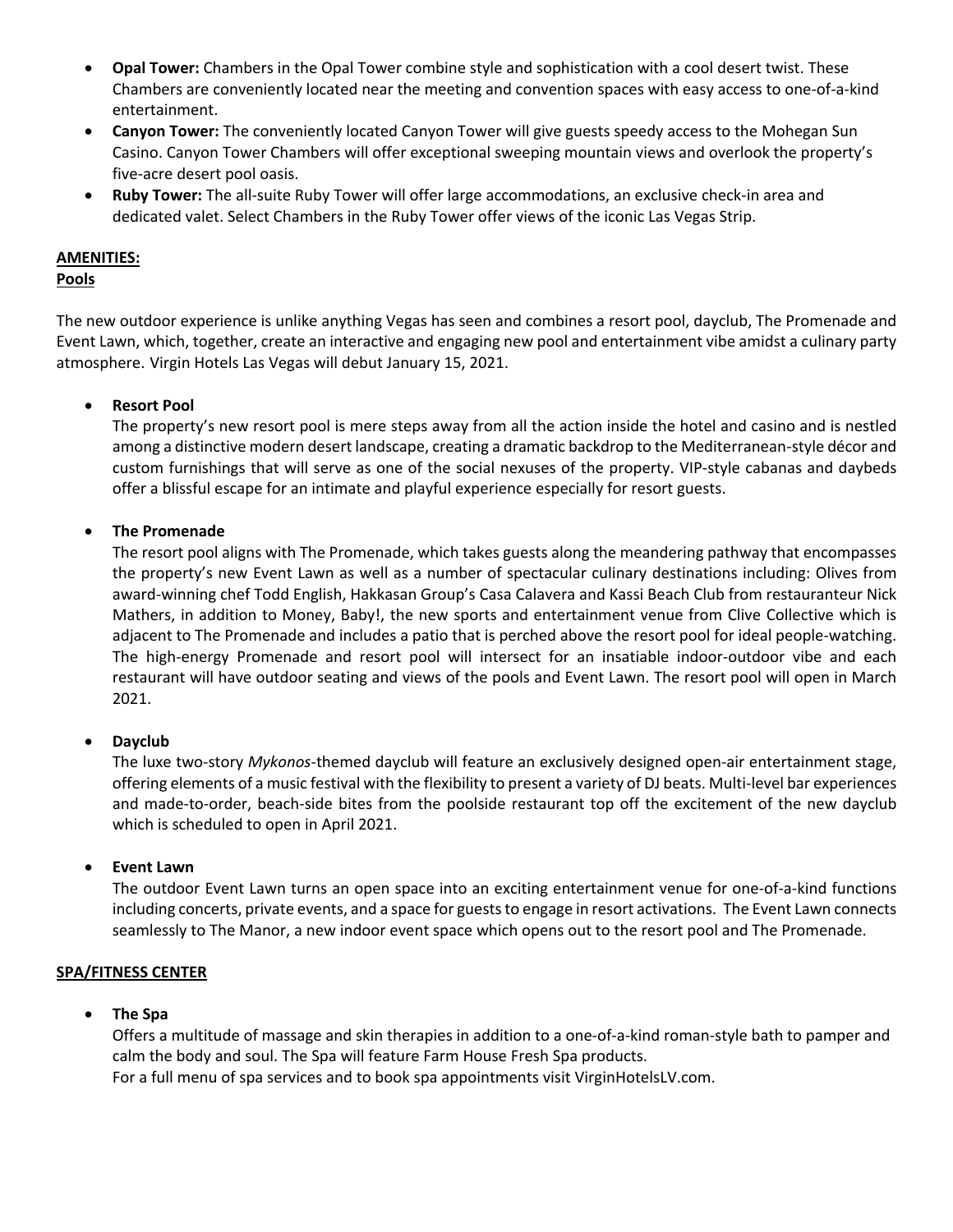- **Opal Tower:** Chambers in the Opal Tower combine style and sophistication with a cool desert twist. These Chambers are conveniently located near the meeting and convention spaces with easy access to one-of-a-kind entertainment.
- **Canyon Tower:** The conveniently located Canyon Tower will give guests speedy access to the Mohegan Sun Casino. Canyon Tower Chambers will offer exceptional sweeping mountain views and overlook the property's five-acre desert pool oasis.
- **Ruby Tower:** The all-suite Ruby Tower will offer large accommodations, an exclusive check-in area and dedicated valet. Select Chambers in the Ruby Tower offer views of the iconic Las Vegas Strip.

## **AMENITIES:**

## **Pools**

The new outdoor experience is unlike anything Vegas has seen and combines a resort pool, dayclub, The Promenade and Event Lawn, which, together, create an interactive and engaging new pool and entertainment vibe amidst a culinary party atmosphere. Virgin Hotels Las Vegas will debut January 15, 2021.

## • **Resort Pool**

The property's new resort pool is mere steps away from all the action inside the hotel and casino and is nestled among a distinctive modern desert landscape, creating a dramatic backdrop to the Mediterranean-style décor and custom furnishings that will serve as one of the social nexuses of the property. VIP-style cabanas and daybeds offer a blissful escape for an intimate and playful experience especially for resort guests.

## • **The Promenade**

The resort pool aligns with The Promenade, which takes guests along the meandering pathway that encompasses the property's new Event Lawn as well as a number of spectacular culinary destinations including: Olives from award-winning chef Todd English, Hakkasan Group's Casa Calavera and Kassi Beach Club from restauranteur Nick Mathers, in addition to Money, Baby!, the new sports and entertainment venue from Clive Collective which is adjacent to The Promenade and includes a patio that is perched above the resort pool for ideal people-watching. The high-energy Promenade and resort pool will intersect for an insatiable indoor-outdoor vibe and each restaurant will have outdoor seating and views of the pools and Event Lawn. The resort pool will open in March 2021.

## • **Dayclub**

The luxe two-story *Mykonos*-themed dayclub will feature an exclusively designed open-air entertainment stage, offering elements of a music festival with the flexibility to present a variety of DJ beats. Multi-level bar experiences and made-to-order, beach-side bites from the poolside restaurant top off the excitement of the new dayclub which is scheduled to open in April 2021.

## • **Event Lawn**

The outdoor Event Lawn turns an open space into an exciting entertainment venue for one-of-a-kind functions including concerts, private events, and a space for guests to engage in resort activations. The Event Lawn connects seamlessly to The Manor, a new indoor event space which opens out to the resort pool and The Promenade.

## **SPA/FITNESS CENTER**

## • **The Spa**

Offers a multitude of massage and skin therapies in addition to a one-of-a-kind roman-style bath to pamper and calm the body and soul. The Spa will feature Farm House Fresh Spa products. For a full menu of spa services and to book spa appointments visit VirginHotelsLV.com.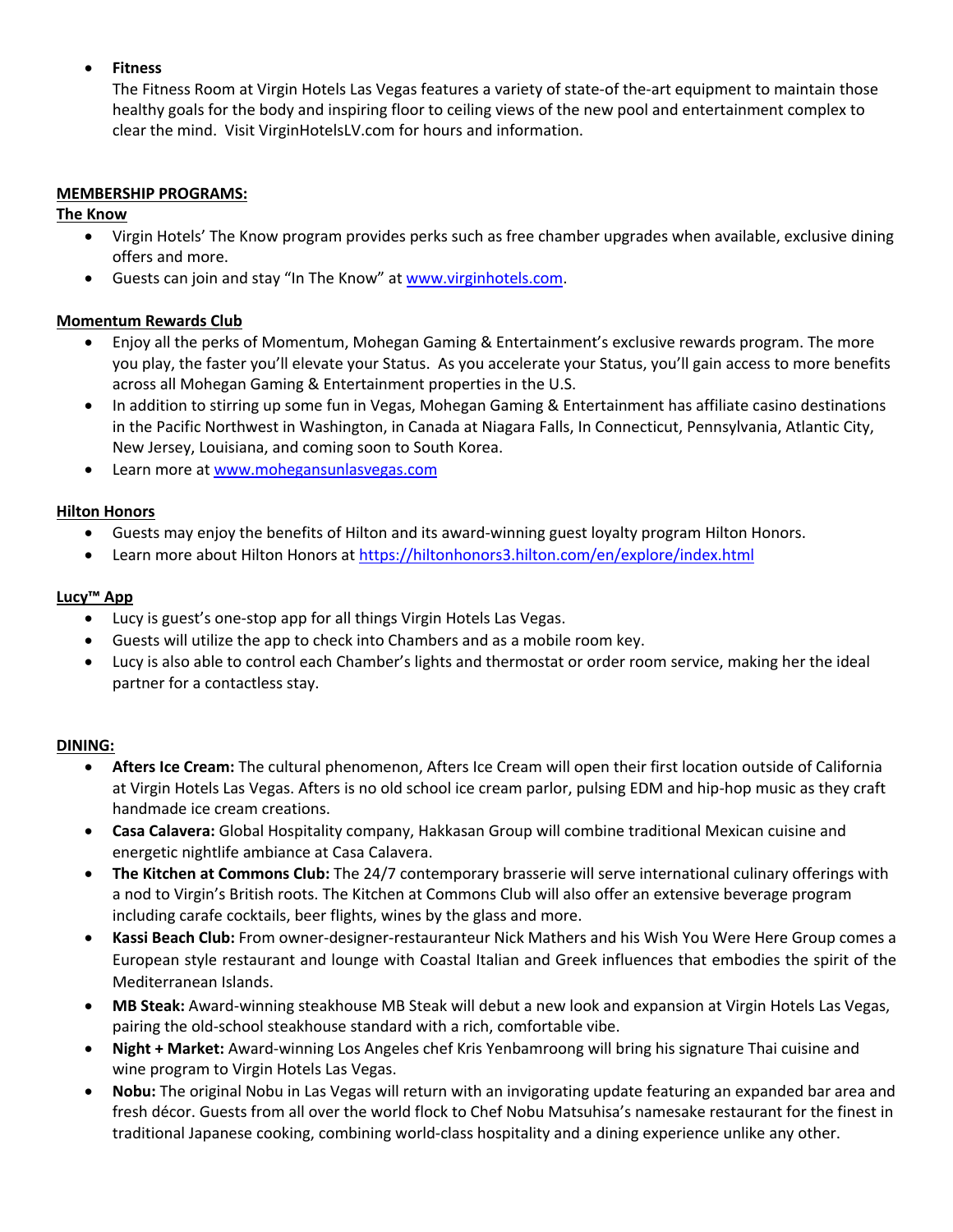## • **Fitness**

The Fitness Room at Virgin Hotels Las Vegas features a variety of state-of the-art equipment to maintain those healthy goals for the body and inspiring floor to ceiling views of the new pool and entertainment complex to clear the mind. Visit VirginHotelsLV.com for hours and information.

#### **MEMBERSHIP PROGRAMS:**

## **The Know**

- Virgin Hotels' The Know program provides perks such as free chamber upgrades when available, exclusive dining offers and more.
- Guests can join and stay "In The Know" at www.virginhotels.com.

## **Momentum Rewards Club**

- Enjoy all the perks of Momentum, Mohegan Gaming & Entertainment's exclusive rewards program. The more you play, the faster you'll elevate your Status. As you accelerate your Status, you'll gain access to more benefits across all Mohegan Gaming & Entertainment properties in the U.S.
- In addition to stirring up some fun in Vegas, Mohegan Gaming & Entertainment has affiliate casino destinations in the Pacific Northwest in Washington, in Canada at Niagara Falls, In Connecticut, Pennsylvania, Atlantic City, New Jersey, Louisiana, and coming soon to South Korea.
- Learn more at www.mohegansunlasvegas.com

#### **Hilton Honors**

- Guests may enjoy the benefits of Hilton and its award-winning guest loyalty program Hilton Honors.
- Learn more about Hilton Honors at https://hiltonhonors3.hilton.com/en/explore/index.html

#### **Lucy™ App**

- Lucy is guest's one-stop app for all things Virgin Hotels Las Vegas.
- Guests will utilize the app to check into Chambers and as a mobile room key.
- Lucy is also able to control each Chamber's lights and thermostat or order room service, making her the ideal partner for a contactless stay.

#### **DINING:**

- **Afters Ice Cream:** The cultural phenomenon, Afters Ice Cream will open their first location outside of California at Virgin Hotels Las Vegas. Afters is no old school ice cream parlor, pulsing EDM and hip-hop music as they craft handmade ice cream creations.
- **Casa Calavera:** Global Hospitality company, Hakkasan Group will combine traditional Mexican cuisine and energetic nightlife ambiance at Casa Calavera.
- **The Kitchen at Commons Club:** The 24/7 contemporary brasserie will serve international culinary offerings with a nod to Virgin's British roots. The Kitchen at Commons Club will also offer an extensive beverage program including carafe cocktails, beer flights, wines by the glass and more.
- **Kassi Beach Club:** From owner-designer-restauranteur Nick Mathers and his Wish You Were Here Group comes a European style restaurant and lounge with Coastal Italian and Greek influences that embodies the spirit of the Mediterranean Islands.
- **MB Steak:** Award-winning steakhouse MB Steak will debut a new look and expansion at Virgin Hotels Las Vegas, pairing the old-school steakhouse standard with a rich, comfortable vibe.
- **Night + Market:** Award-winning Los Angeles chef Kris Yenbamroong will bring his signature Thai cuisine and wine program to Virgin Hotels Las Vegas.
- **Nobu:** The original Nobu in Las Vegas will return with an invigorating update featuring an expanded bar area and fresh décor. Guests from all over the world flock to Chef Nobu Matsuhisa's namesake restaurant for the finest in traditional Japanese cooking, combining world-class hospitality and a dining experience unlike any other.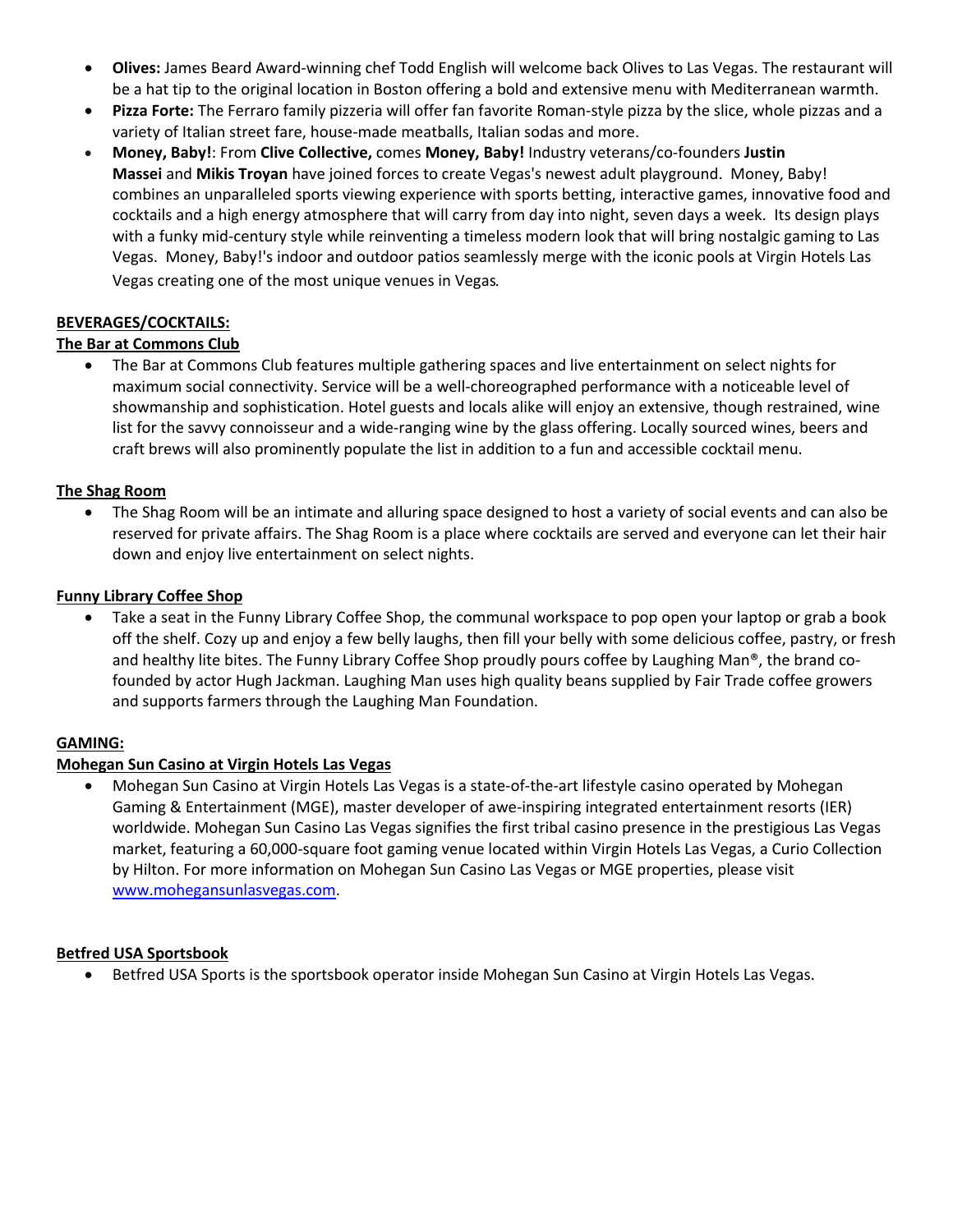- **Olives:** James Beard Award-winning chef Todd English will welcome back Olives to Las Vegas. The restaurant will be a hat tip to the original location in Boston offering a bold and extensive menu with Mediterranean warmth.
- **Pizza Forte:** The Ferraro family pizzeria will offer fan favorite Roman-style pizza by the slice, whole pizzas and a variety of Italian street fare, house-made meatballs, Italian sodas and more.
- **Money, Baby!**: From **Clive Collective,** comes **Money, Baby!** Industry veterans/co-founders **Justin Massei** and **Mikis Troyan** have joined forces to create Vegas's newest adult playground. Money, Baby! combines an unparalleled sports viewing experience with sports betting, interactive games, innovative food and cocktails and a high energy atmosphere that will carry from day into night, seven days a week. Its design plays with a funky mid-century style while reinventing a timeless modern look that will bring nostalgic gaming to Las Vegas. Money, Baby!'s indoor and outdoor patios seamlessly merge with the iconic pools at Virgin Hotels Las Vegas creating one of the most unique venues in Vegas*.*

## **BEVERAGES/COCKTAILS:**

# **The Bar at Commons Club**

• The Bar at Commons Club features multiple gathering spaces and live entertainment on select nights for maximum social connectivity. Service will be a well-choreographed performance with a noticeable level of showmanship and sophistication. Hotel guests and locals alike will enjoy an extensive, though restrained, wine list for the savvy connoisseur and a wide-ranging wine by the glass offering. Locally sourced wines, beers and craft brews will also prominently populate the list in addition to a fun and accessible cocktail menu.

## **The Shag Room**

• The Shag Room will be an intimate and alluring space designed to host a variety of social events and can also be reserved for private affairs. The Shag Room is a place where cocktails are served and everyone can let their hair down and enjoy live entertainment on select nights.

## **Funny Library Coffee Shop**

• Take a seat in the Funny Library Coffee Shop, the communal workspace to pop open your laptop or grab a book off the shelf. Cozy up and enjoy a few belly laughs, then fill your belly with some delicious coffee, pastry, or fresh and healthy lite bites. The Funny Library Coffee Shop proudly pours coffee by Laughing Man®, the brand cofounded by actor Hugh Jackman. Laughing Man uses high quality beans supplied by Fair Trade coffee growers and supports farmers through the Laughing Man Foundation.

## **GAMING:**

## **Mohegan Sun Casino at Virgin Hotels Las Vegas**

• Mohegan Sun Casino at Virgin Hotels Las Vegas is a state-of-the-art lifestyle casino operated by Mohegan Gaming & Entertainment (MGE), master developer of awe-inspiring integrated entertainment resorts (IER) worldwide. Mohegan Sun Casino Las Vegas signifies the first tribal casino presence in the prestigious Las Vegas market, featuring a 60,000-square foot gaming venue located within Virgin Hotels Las Vegas, a Curio Collection by Hilton. For more information on Mohegan Sun Casino Las Vegas or MGE properties, please visit www.mohegansunlasvegas.com.

## **Betfred USA Sportsbook**

• Betfred USA Sports is the sportsbook operator inside Mohegan Sun Casino at Virgin Hotels Las Vegas.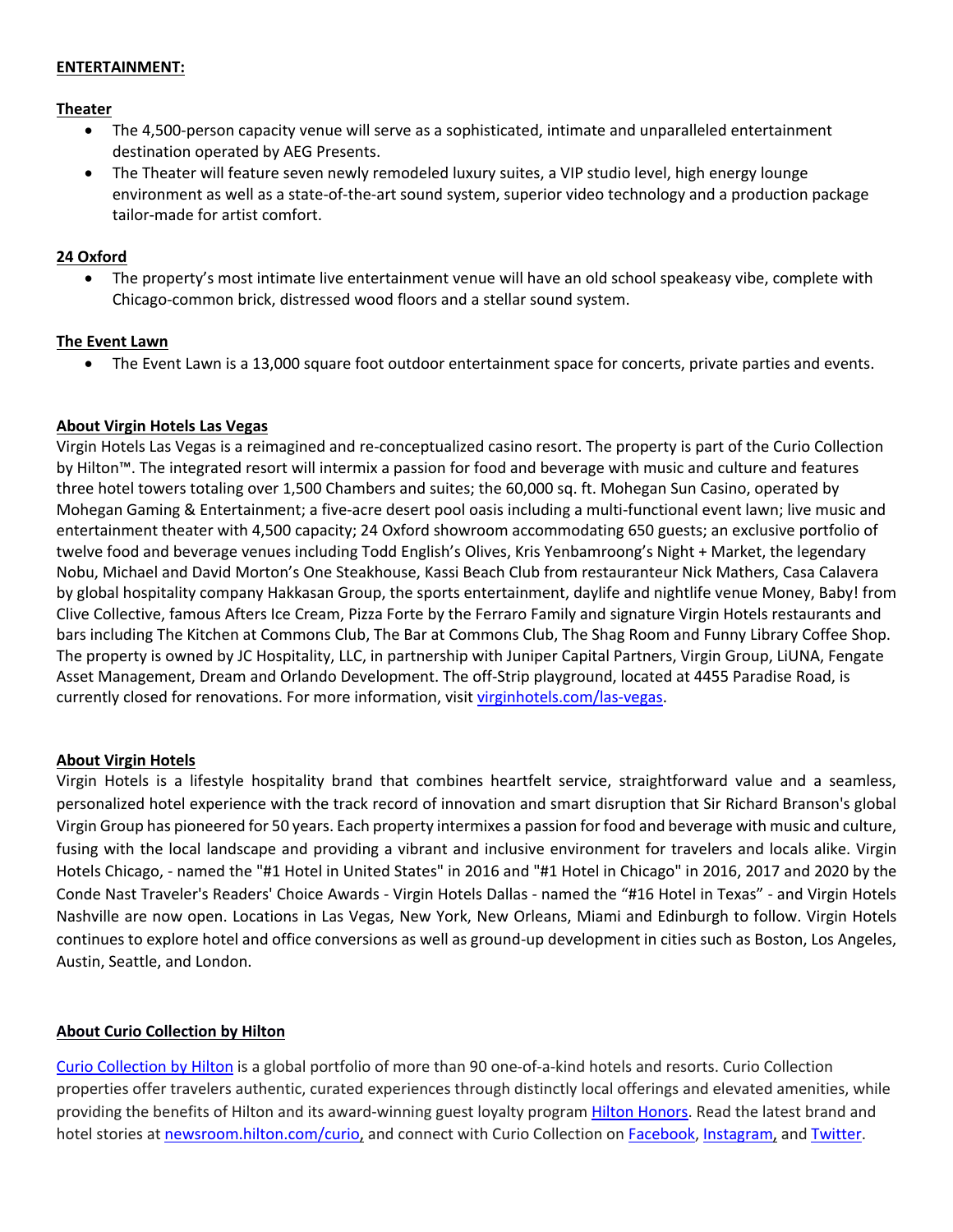## **ENTERTAINMENT:**

#### **Theater**

- The 4,500-person capacity venue will serve as a sophisticated, intimate and unparalleled entertainment destination operated by AEG Presents.
- The Theater will feature seven newly remodeled luxury suites, a VIP studio level, high energy lounge environment as well as a state-of-the-art sound system, superior video technology and a production package tailor-made for artist comfort.

#### **24 Oxford**

• The property's most intimate live entertainment venue will have an old school speakeasy vibe, complete with Chicago-common brick, distressed wood floors and a stellar sound system.

## **The Event Lawn**

• The Event Lawn is a 13,000 square foot outdoor entertainment space for concerts, private parties and events.

#### **About Virgin Hotels Las Vegas**

Virgin Hotels Las Vegas is a reimagined and re-conceptualized casino resort. The property is part of the Curio Collection by Hilton™. The integrated resort will intermix a passion for food and beverage with music and culture and features three hotel towers totaling over 1,500 Chambers and suites; the 60,000 sq. ft. Mohegan Sun Casino, operated by Mohegan Gaming & Entertainment; a five-acre desert pool oasis including a multi-functional event lawn; live music and entertainment theater with 4,500 capacity; 24 Oxford showroom accommodating 650 guests; an exclusive portfolio of twelve food and beverage venues including Todd English's Olives, Kris Yenbamroong's Night + Market, the legendary Nobu, Michael and David Morton's One Steakhouse, Kassi Beach Club from restauranteur Nick Mathers, Casa Calavera by global hospitality company Hakkasan Group, the sports entertainment, daylife and nightlife venue Money, Baby! from Clive Collective, famous Afters Ice Cream, Pizza Forte by the Ferraro Family and signature Virgin Hotels restaurants and bars including The Kitchen at Commons Club, The Bar at Commons Club, The Shag Room and Funny Library Coffee Shop. The property is owned by JC Hospitality, LLC, in partnership with Juniper Capital Partners, Virgin Group, LiUNA, Fengate Asset Management, Dream and Orlando Development. The off-Strip playground, located at 4455 Paradise Road, is currently closed for renovations. For more information, visit virginhotels.com/las-vegas.

## **About Virgin Hotels**

Virgin Hotels is a lifestyle hospitality brand that combines heartfelt service, straightforward value and a seamless, personalized hotel experience with the track record of innovation and smart disruption that Sir Richard Branson's global Virgin Group has pioneered for 50 years. Each property intermixes a passion for food and beverage with music and culture, fusing with the local landscape and providing a vibrant and inclusive environment for travelers and locals alike. Virgin Hotels Chicago, - named the "#1 Hotel in United States" in 2016 and "#1 Hotel in Chicago" in 2016, 2017 and 2020 by the Conde Nast Traveler's Readers' Choice Awards - Virgin Hotels Dallas - named the "#16 Hotel in Texas" - and Virgin Hotels Nashville are now open. Locations in Las Vegas, New York, New Orleans, Miami and Edinburgh to follow. Virgin Hotels continues to explore hotel and office conversions as well as ground-up development in cities such as Boston, Los Angeles, Austin, Seattle, and London.

## **About Curio Collection by Hilton**

Curio Collection by Hilton is a global portfolio of more than 90 one-of-a-kind hotels and resorts. Curio Collection properties offer travelers authentic, curated experiences through distinctly local offerings and elevated amenities, while providing the benefits of Hilton and its award-winning guest loyalty program Hilton Honors. Read the latest brand and hotel stories at newsroom.hilton.com/curio, and connect with Curio Collection on Facebook, Instagram, and Twitter.